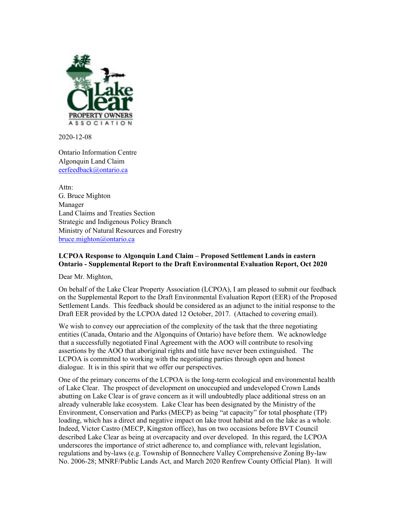

2020-12-08

Ontario Information Centre Algonquin Land Claim eerfeedback@ontario.ca

Attn: G. Bruce Mighton Manager Land Claims and Treaties Section Strategic and Indigenous Policy Branch Ministry of Natural Resources and Forestry bruce.mighton@ontario.ca

## **LCPOA Response to Algonquin Land Claim – Proposed Settlement Lands in eastern Ontario - Supplemental Report to the Draft Environmental Evaluation Report, Oct 2020**

Dear Mr. Mighton,

On behalf of the Lake Clear Property Association (LCPOA), I am pleased to submit our feedback on the Supplemental Report to the Draft Environmental Evaluation Report (EER) of the Proposed Settlement Lands. This feedback should be considered as an adjunct to the initial response to the Draft EER provided by the LCPOA dated 12 October, 2017. (Attached to covering email).

We wish to convey our appreciation of the complexity of the task that the three negotiating entities (Canada, Ontario and the Algonquins of Ontario) have before them. We acknowledge that a successfully negotiated Final Agreement with the AOO will contribute to resolving assertions by the AOO that aboriginal rights and title have never been extinguished. The LCPOA is committed to working with the negotiating parties through open and honest dialogue. It is in this spirit that we offer our perspectives.

One of the primary concerns of the LCPOA is the long-term ecological and environmental health of Lake Clear. The prospect of development on unoccupied and undeveloped Crown Lands abutting on Lake Clear is of grave concern as it will undoubtedly place additional stress on an already vulnerable lake ecosystem. Lake Clear has been designated by the Ministry of the Environment, Conservation and Parks (MECP) as being "at capacity" for total phosphate (TP) loading, which has a direct and negative impact on lake trout habitat and on the lake as a whole. Indeed, Victor Castro (MECP, Kingston office), has on two occasions before BVT Council described Lake Clear as being at overcapacity and over developed. In this regard, the LCPOA underscores the importance of strict adherence to, and compliance with, relevant legislation, regulations and by-laws (e.g. Township of Bonnechere Valley Comprehensive Zoning By-law No. 2006-28; MNRF/Public Lands Act, and March 2020 Renfrew County Official Plan). It will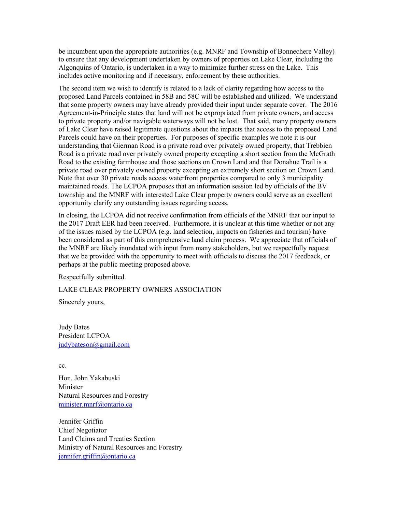be incumbent upon the appropriate authorities (e.g. MNRF and Township of Bonnechere Valley) to ensure that any development undertaken by owners of properties on Lake Clear, including the Algonquins of Ontario, is undertaken in a way to minimize further stress on the Lake. This includes active monitoring and if necessary, enforcement by these authorities.

The second item we wish to identify is related to a lack of clarity regarding how access to the proposed Land Parcels contained in 58B and 58C will be established and utilized. We understand that some property owners may have already provided their input under separate cover. The 2016 Agreement-in-Principle states that land will not be expropriated from private owners, and access to private property and/or navigable waterways will not be lost. That said, many property owners of Lake Clear have raised legitimate questions about the impacts that access to the proposed Land Parcels could have on their properties. For purposes of specific examples we note it is our understanding that Gierman Road is a private road over privately owned property, that Trebbien Road is a private road over privately owned property excepting a short section from the McGrath Road to the existing farmhouse and those sections on Crown Land and that Donahue Trail is a private road over privately owned property excepting an extremely short section on Crown Land. Note that over 30 private roads access waterfront properties compared to only 3 municipality maintained roads. The LCPOA proposes that an information session led by officials of the BV township and the MNRF with interested Lake Clear property owners could serve as an excellent opportunity clarify any outstanding issues regarding access.

In closing, the LCPOA did not receive confirmation from officials of the MNRF that our input to the 2017 Draft EER had been received. Furthermore, it is unclear at this time whether or not any of the issues raised by the LCPOA (e.g. land selection, impacts on fisheries and tourism) have been considered as part of this comprehensive land claim process. We appreciate that officials of the MNRF are likely inundated with input from many stakeholders, but we respectfully request that we be provided with the opportunity to meet with officials to discuss the 2017 feedback, or perhaps at the public meeting proposed above.

Respectfully submitted.

LAKE CLEAR PROPERTY OWNERS ASSOCIATION

Sincerely yours,

Judy Bates President LCPOA judybateson@gmail.com

cc.

Hon. John Yakabuski Minister Natural Resources and Forestry minister.mnrf@ontario.ca

Jennifer Griffin Chief Negotiator Land Claims and Treaties Section Ministry of Natural Resources and Forestry jennifer.griffin@ontario.ca